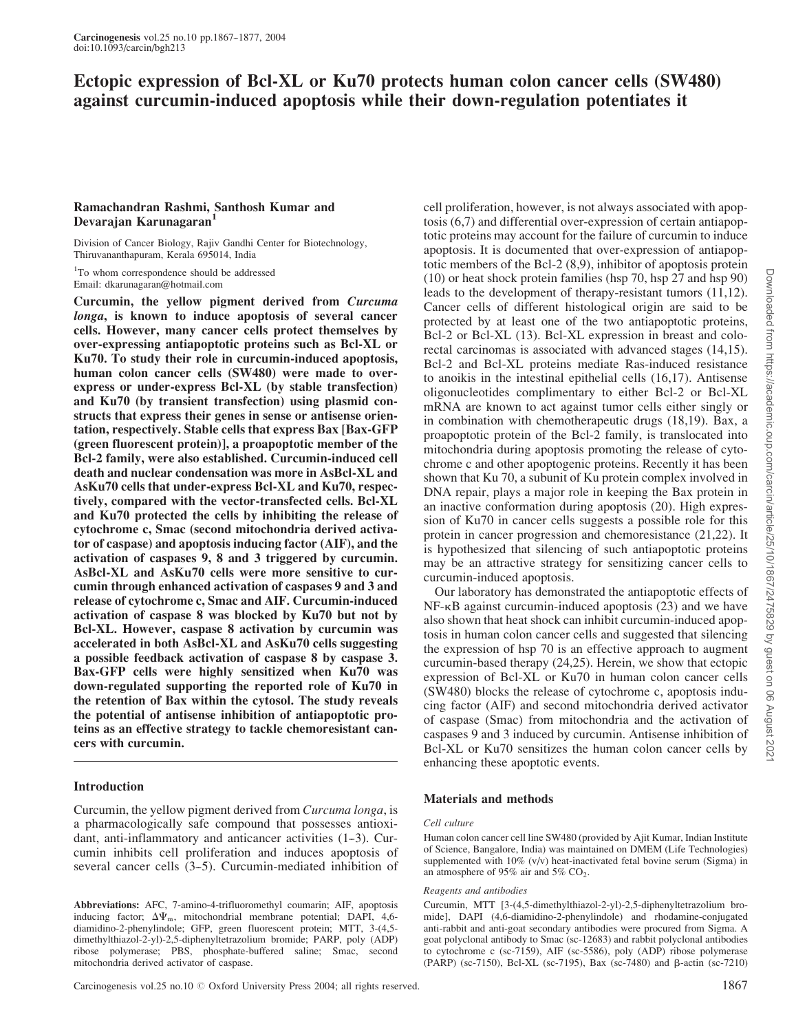# Ectopic expression of Bcl-XL or Ku70 protects human colon cancer cells (SW480) against curcumin-induced apoptosis while their down-regulation potentiates it

# Ramachandran Rashmi, Santhosh Kumar and Devarajan Karunagaran<sup>1</sup>

Division of Cancer Biology, Rajiv Gandhi Center for Biotechnology, Thiruvananthapuram, Kerala 695014, India

<sup>1</sup>To whom correspondence should be addressed Email: dkarunagaran@hotmail.com

Curcumin, the yellow pigment derived from Curcuma longa, is known to induce apoptosis of several cancer cells. However, many cancer cells protect themselves by over-expressing antiapoptotic proteins such as Bcl-XL or Ku70. To study their role in curcumin-induced apoptosis, human colon cancer cells (SW480) were made to overexpress or under-express Bcl-XL (by stable transfection) and Ku70 (by transient transfection) using plasmid constructs that express their genes in sense or antisense orientation, respectively. Stable cells that express Bax [Bax-GFP (green fluorescent protein)], a proapoptotic member of the Bcl-2 family, were also established. Curcumin-induced cell death and nuclear condensation was more in AsBcl-XL and AsKu70 cells that under-express Bcl-XL and Ku70, respectively, compared with the vector-transfected cells. Bcl-XL and Ku70 protected the cells by inhibiting the release of cytochrome c, Smac (second mitochondria derived activator of caspase) and apoptosis inducing factor (AIF), and the activation of caspases 9, 8 and 3 triggered by curcumin. AsBcl-XL and AsKu70 cells were more sensitive to curcumin through enhanced activation of caspases 9 and 3 and release of cytochrome c, Smac and AIF. Curcumin-induced activation of caspase 8 was blocked by Ku70 but not by Bcl-XL. However, caspase 8 activation by curcumin was accelerated in both AsBcl-XL and AsKu70 cells suggesting a possible feedback activation of caspase 8 by caspase 3. Bax-GFP cells were highly sensitized when Ku70 was down-regulated supporting the reported role of Ku70 in the retention of Bax within the cytosol. The study reveals the potential of antisense inhibition of antiapoptotic proteins as an effective strategy to tackle chemoresistant cancers with curcumin.

# Introduction

Curcumin, the yellow pigment derived from Curcuma longa, is a pharmacologically safe compound that possesses antioxidant, anti-inflammatory and anticancer activities  $(1-3)$ . Curcumin inhibits cell proliferation and induces apoptosis of several cancer cells (3–5). Curcumin-mediated inhibition of

Abbreviations: AFC, 7-amino-4-trifluoromethyl coumarin; AIF, apoptosis inducing factor;  $\Delta \Psi_m$ , mitochondrial membrane potential; DAPI, 4,6diamidino-2-phenylindole; GFP, green fluorescent protein; MTT, 3-(4,5 dimethylthiazol-2-yl)-2,5-diphenyltetrazolium bromide; PARP, poly (ADP) ribose polymerase; PBS, phosphate-buffered saline; Smac, second mitochondria derived activator of caspase.

cell proliferation, however, is not always associated with apoptosis (6,7) and differential over-expression of certain antiapoptotic proteins may account for the failure of curcumin to induce apoptosis. It is documented that over-expression of antiapoptotic members of the Bcl-2 (8,9), inhibitor of apoptosis protein (10) or heat shock protein families (hsp 70, hsp 27 and hsp 90) leads to the development of therapy-resistant tumors (11,12). Cancer cells of different histological origin are said to be protected by at least one of the two antiapoptotic proteins, Bcl-2 or Bcl-XL (13). Bcl-XL expression in breast and colorectal carcinomas is associated with advanced stages (14,15). Bcl-2 and Bcl-XL proteins mediate Ras-induced resistance to anoikis in the intestinal epithelial cells (16,17). Antisense oligonucleotides complimentary to either Bcl-2 or Bcl-XL mRNA are known to act against tumor cells either singly or in combination with chemotherapeutic drugs (18,19). Bax, a proapoptotic protein of the Bcl-2 family, is translocated into mitochondria during apoptosis promoting the release of cytochrome c and other apoptogenic proteins. Recently it has been shown that Ku 70, a subunit of Ku protein complex involved in DNA repair, plays a major role in keeping the Bax protein in an inactive conformation during apoptosis (20). High expression of Ku70 in cancer cells suggests a possible role for this protein in cancer progression and chemoresistance (21,22). It is hypothesized that silencing of such antiapoptotic proteins may be an attractive strategy for sensitizing cancer cells to curcumin-induced apoptosis.

Our laboratory has demonstrated the antiapoptotic effects of NF-kB against curcumin-induced apoptosis (23) and we have also shown that heat shock can inhibit curcumin-induced apoptosis in human colon cancer cells and suggested that silencing the expression of hsp 70 is an effective approach to augment curcumin-based therapy (24,25). Herein, we show that ectopic expression of Bcl-XL or Ku70 in human colon cancer cells (SW480) blocks the release of cytochrome c, apoptosis inducing factor (AIF) and second mitochondria derived activator of caspase (Smac) from mitochondria and the activation of caspases 9 and 3 induced by curcumin. Antisense inhibition of Bcl-XL or Ku70 sensitizes the human colon cancer cells by enhancing these apoptotic events.

# Materials and methods

#### Cell culture

Human colon cancer cell line SW480 (provided by Ajit Kumar, Indian Institute of Science, Bangalore, India) was maintained on DMEM (Life Technologies) supplemented with 10% (v/v) heat-inactivated fetal bovine serum (Sigma) in an atmosphere of 95% air and 5%  $CO<sub>2</sub>$ .

#### Reagents and antibodies

Curcumin, MTT [3-(4,5-dimethylthiazol-2-yl)-2,5-diphenyltetrazolium bromide], DAPI (4,6-diamidino-2-phenylindole) and rhodamine-conjugated anti-rabbit and anti-goat secondary antibodies were procured from Sigma. A goat polyclonal antibody to Smac (sc-12683) and rabbit polyclonal antibodies to cytochrome c (sc-7159), AIF (sc-5586), poly (ADP) ribose polymerase (PARP) (sc-7150), Bcl-XL (sc-7195), Bax (sc-7480) and  $\beta$ -actin (sc-7210)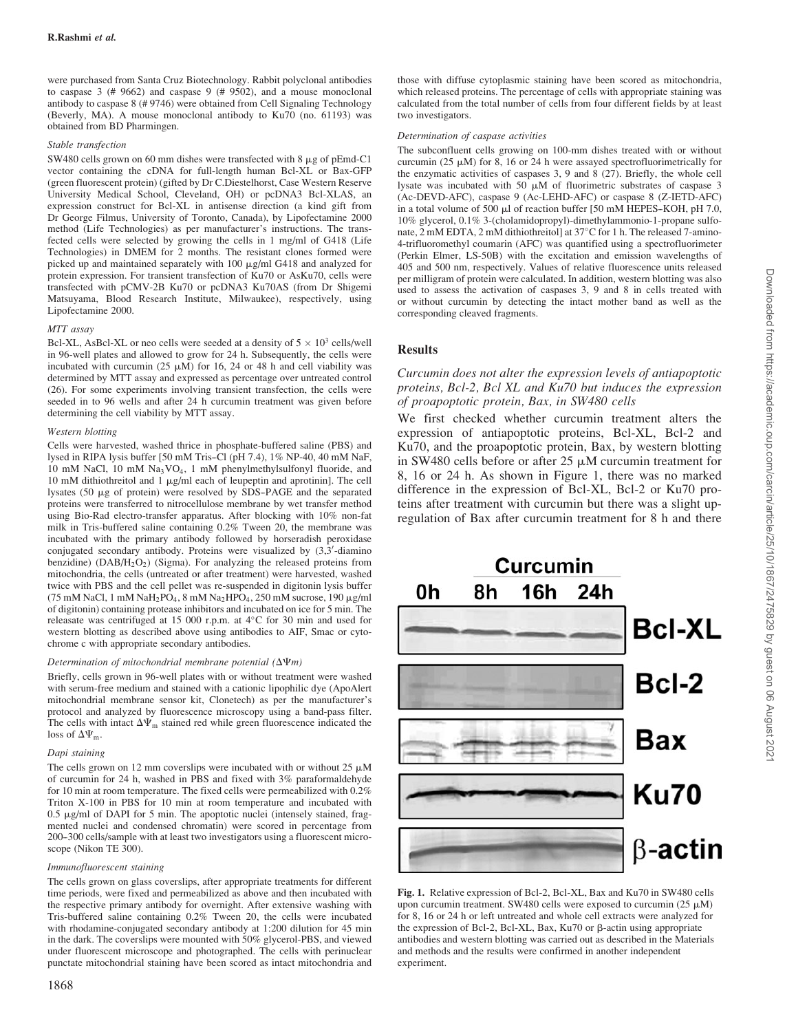were purchased from Santa Cruz Biotechnology. Rabbit polyclonal antibodies to caspase 3 (# 9662) and caspase 9 (# 9502), and a mouse monoclonal antibody to caspase 8 (# 9746) were obtained from Cell Signaling Technology (Beverly, MA). A mouse monoclonal antibody to  $Ku\overline{70}$  (no. 61193) was obtained from BD Pharmingen.

#### Stable transfection

SW480 cells grown on 60 mm dishes were transfected with  $8 \mu$ g of pEmd-C1 vector containing the cDNA for full-length human Bcl-XL or Bax-GFP (green fluorescent protein) (gifted by Dr C.Diestelhorst, Case Western Reserve University Medical School, Cleveland, OH) or pcDNA3 Bcl-XLAS, an expression construct for Bcl-XL in antisense direction (a kind gift from Dr George Filmus, University of Toronto, Canada), by Lipofectamine 2000 method (Life Technologies) as per manufacturer's instructions. The transfected cells were selected by growing the cells in 1 mg/ml of G418 (Life Technologies) in DMEM for 2 months. The resistant clones formed were picked up and maintained separately with 100  $\mu$ g/ml G418 and analyzed for protein expression. For transient transfection of Ku70 or AsKu70, cells were transfected with pCMV-2B Ku70 or pcDNA3 Ku70AS (from Dr Shigemi Matsuyama, Blood Research Institute, Milwaukee), respectively, using Lipofectamine 2000.

#### MTT assay

Bcl-XL, AsBcl-XL or neo cells were seeded at a density of  $5 \times 10^3$  cells/well in 96-well plates and allowed to grow for 24 h. Subsequently, the cells were incubated with curcumin (25  $\mu$ M) for 16, 24 or 48 h and cell viability was determined by MTT assay and expressed as percentage over untreated control (26). For some experiments involving transient transfection, the cells were seeded in to 96 wells and after 24 h curcumin treatment was given before determining the cell viability by MTT assay.

#### Western blotting

Cells were harvested, washed thrice in phosphate-buffered saline (PBS) and lysed in RIPA lysis buffer [50 mM Tris-Cl (pH 7.4),  $1\%$  NP-40, 40 mM NaF, 10 mM NaCl, 10 mM Na3VO4, 1 mM phenylmethylsulfonyl fluoride, and 10 mM dithiothreitol and 1  $\mu$ g/ml each of leupeptin and aprotinin]. The cell lysates (50 µg of protein) were resolved by SDS-PAGE and the separated proteins were transferred to nitrocellulose membrane by wet transfer method using Bio-Rad electro-transfer apparatus. After blocking with 10% non-fat milk in Tris-buffered saline containing 0.2% Tween 20, the membrane was incubated with the primary antibody followed by horseradish peroxidase conjugated secondary antibody. Proteins were visualized by  $(3, 3)$ -diamino benzidine) ( $DAB/H<sub>2</sub>O<sub>2</sub>$ ) (Sigma). For analyzing the released proteins from mitochondria, the cells (untreated or after treatment) were harvested, washed twice with PBS and the cell pellet was re-suspended in digitonin lysis buffer (75 mM NaCl, 1 mM NaH<sub>2</sub>PO<sub>4</sub>, 8 mM Na<sub>2</sub>HPO<sub>4</sub>, 250 mM sucrose, 190  $\mu$ g/ml of digitonin) containing protease inhibitors and incubated on ice for 5 min. The releasate was centrifuged at 15 000 r.p.m. at  $4^{\circ}$ C for 30 min and used for western blotting as described above using antibodies to AIF, Smac or cytochrome c with appropriate secondary antibodies.

#### Determination of mitochondrial membrane potential  $(\Delta \Psi m)$

Briefly, cells grown in 96-well plates with or without treatment were washed with serum-free medium and stained with a cationic lipophilic dye (ApoAlert mitochondrial membrane sensor kit, Clonetech) as per the manufacturer's protocol and analyzed by fluorescence microscopy using a band-pass filter. The cells with intact  $\Delta \Psi_m$  stained red while green fluorescence indicated the loss of  $\Delta \Psi_{\rm m}$ .

#### Dapi staining

The cells grown on 12 mm coverslips were incubated with or without  $25 \mu M$ of curcumin for 24 h, washed in PBS and fixed with 3% paraformaldehyde for 10 min at room temperature. The fixed cells were permeabilized with 0.2% Triton X-100 in PBS for 10 min at room temperature and incubated with  $0.5 \mu$ g/ml of DAPI for 5 min. The apoptotic nuclei (intensely stained, fragmented nuclei and condensed chromatin) were scored in percentage from 200-300 cells/sample with at least two investigators using a fluorescent microscope (Nikon TE 300).

#### Immunofluorescent staining

The cells grown on glass coverslips, after appropriate treatments for different time periods, were fixed and permeabilized as above and then incubated with the respective primary antibody for overnight. After extensive washing with Tris-buffered saline containing 0.2% Tween 20, the cells were incubated with rhodamine-conjugated secondary antibody at 1:200 dilution for 45 min in the dark. The coverslips were mounted with 50% glycerol-PBS, and viewed under fluorescent microscope and photographed. The cells with perinuclear punctate mitochondrial staining have been scored as intact mitochondria and

1868

those with diffuse cytoplasmic staining have been scored as mitochondria, which released proteins. The percentage of cells with appropriate staining was calculated from the total number of cells from four different fields by at least two investigators.

#### Determination of caspase activities

The subconfluent cells growing on 100-mm dishes treated with or without curcumin (25  $\mu$ M) for 8, 16 or 24 h were assayed spectrofluorimetrically for the enzymatic activities of caspases 3, 9 and 8 (27). Briefly, the whole cell lysate was incubated with  $50 \mu M$  of fluorimetric substrates of caspase 3 (Ac-DEVD-AFC), caspase 9 (Ac-LEHD-AFC) or caspase 8 (Z-IETD-AFC) in a total volume of 500  $\mu$ l of reaction buffer [50 mM HEPES-KOH, pH 7.0, 10% glycerol, 0.1% 3-(cholamidopropyl)-dimethylammonio-1-propane sulfonate, 2 mM EDTA, 2 mM dithiothreitol] at 37°C for 1 h. The released 7-amino-4-trifluoromethyl coumarin (AFC) was quantified using a spectrofluorimeter (Perkin Elmer, LS-50B) with the excitation and emission wavelengths of 405 and 500 nm, respectively. Values of relative fluorescence units released per milligram of protein were calculated. In addition, western blotting was also used to assess the activation of caspases 3, 9 and 8 in cells treated with or without curcumin by detecting the intact mother band as well as the corresponding cleaved fragments.

# **Results**

## Curcumin does not alter the expression levels of antiapoptotic proteins, Bcl-2, Bcl XL and Ku70 but induces the expression of proapoptotic protein, Bax, in SW480 cells

We first checked whether curcumin treatment alters the expression of antiapoptotic proteins, Bcl-XL, Bcl-2 and Ku70, and the proapoptotic protein, Bax, by western blotting in SW480 cells before or after  $25 \mu$ M curcumin treatment for 8, 16 or 24 h. As shown in Figure 1, there was no marked difference in the expression of Bcl-XL, Bcl-2 or Ku70 proteins after treatment with curcumin but there was a slight upregulation of Bax after curcumin treatment for 8 h and there



Fig. 1. Relative expression of Bcl-2, Bcl-XL, Bax and Ku70 in SW480 cells upon curcumin treatment. SW480 cells were exposed to curcumin (25  $\mu$ M) for 8, 16 or 24 h or left untreated and whole cell extracts were analyzed for the expression of Bcl-2, Bcl-XL, Bax, Ku70 or  $\beta$ -actin using appropriate antibodies and western blotting was carried out as described in the Materials and methods and the results were confirmed in another independent experiment.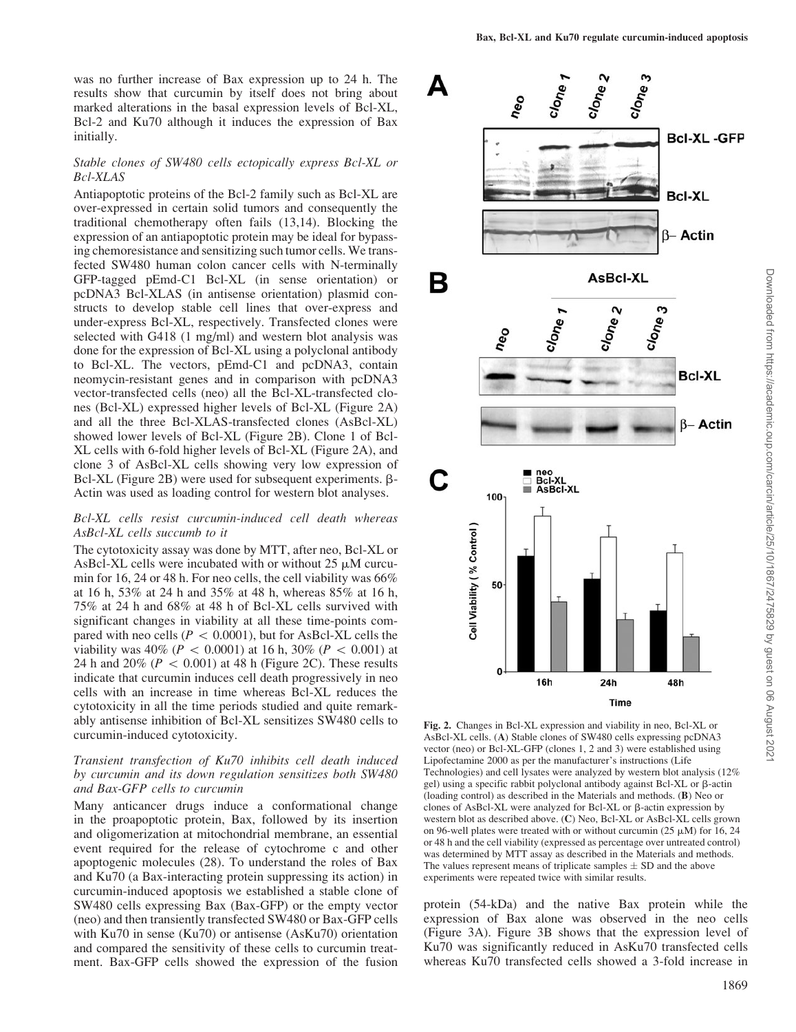was no further increase of Bax expression up to 24 h. The results show that curcumin by itself does not bring about marked alterations in the basal expression levels of Bcl-XL, Bcl-2 and Ku70 although it induces the expression of Bax initially.

#### Stable clones of SW480 cells ectopically express Bcl-XL or Bcl-XLAS

Antiapoptotic proteins of the Bcl-2 family such as Bcl-XL are over-expressed in certain solid tumors and consequently the traditional chemotherapy often fails (13,14). Blocking the expression of an antiapoptotic protein may be ideal for bypassing chemoresistance and sensitizing such tumor cells. We transfected SW480 human colon cancer cells with N-terminally GFP-tagged pEmd-C1 Bcl-XL (in sense orientation) or pcDNA3 Bcl-XLAS (in antisense orientation) plasmid constructs to develop stable cell lines that over-express and under-express Bcl-XL, respectively. Transfected clones were selected with G418 (1 mg/ml) and western blot analysis was done for the expression of Bcl-XL using a polyclonal antibody to Bcl-XL. The vectors, pEmd-C1 and pcDNA3, contain neomycin-resistant genes and in comparison with pcDNA3 vector-transfected cells (neo) all the Bcl-XL-transfected clones (Bcl-XL) expressed higher levels of Bcl-XL (Figure 2A) and all the three Bcl-XLAS-transfected clones (AsBcl-XL) showed lower levels of Bcl-XL (Figure 2B). Clone 1 of Bcl-XL cells with 6-fold higher levels of Bcl-XL (Figure 2A), and clone 3 of AsBcl-XL cells showing very low expression of Bcl-XL (Figure 2B) were used for subsequent experiments.  $\beta$ -Actin was used as loading control for western blot analyses.

## Bcl-XL cells resist curcumin-induced cell death whereas AsBcl-XL cells succumb to it

The cytotoxicity assay was done by MTT, after neo, Bcl-XL or AsBcl-XL cells were incubated with or without  $25 \mu M$  curcumin for 16, 24 or 48 h. For neo cells, the cell viability was 66% at 16 h, 53% at 24 h and 35% at 48 h, whereas 85% at 16 h, 75% at 24 h and 68% at 48 h of Bcl-XL cells survived with significant changes in viability at all these time-points compared with neo cells ( $P < 0.0001$ ), but for AsBcl-XL cells the viability was  $40\%$  ( $P < 0.0001$ ) at 16 h, 30% ( $P < 0.001$ ) at 24 h and 20% ( $P < 0.001$ ) at 48 h (Figure 2C). These results indicate that curcumin induces cell death progressively in neo cells with an increase in time whereas Bcl-XL reduces the cytotoxicity in all the time periods studied and quite remarkably antisense inhibition of Bcl-XL sensitizes SW480 cells to curcumin-induced cytotoxicity.

## Transient transfection of Ku70 inhibits cell death induced by curcumin and its down regulation sensitizes both SW480 and Bax-GFP cells to curcumin

Many anticancer drugs induce a conformational change in the proapoptotic protein, Bax, followed by its insertion and oligomerization at mitochondrial membrane, an essential event required for the release of cytochrome c and other apoptogenic molecules (28). To understand the roles of Bax and Ku70 (a Bax-interacting protein suppressing its action) in curcumin-induced apoptosis we established a stable clone of SW480 cells expressing Bax (Bax-GFP) or the empty vector (neo) and then transiently transfected SW480 or Bax-GFP cells with Ku70 in sense (Ku70) or antisense (AsKu70) orientation and compared the sensitivity of these cells to curcumin treatment. Bax-GFP cells showed the expression of the fusion



Fig. 2. Changes in Bcl-XL expression and viability in neo, Bcl-XL or AsBcl-XL cells. (A) Stable clones of SW480 cells expressing pcDNA3 vector (neo) or Bcl-XL-GFP (clones 1, 2 and 3) were established using Lipofectamine 2000 as per the manufacturer's instructions (Life Technologies) and cell lysates were analyzed by western blot analysis (12% gel) using a specific rabbit polyclonal antibody against Bcl-XL or  $\beta$ -actin (loading control) as described in the Materials and methods. (B) Neo or clones of AsBcl-XL were analyzed for Bcl-XL or  $\beta$ -actin expression by western blot as described above. (C) Neo, Bcl-XL or AsBcl-XL cells grown on 96-well plates were treated with or without curcumin (25  $\mu$ M) for 16, 24 or 48 h and the cell viability (expressed as percentage over untreated control) was determined by MTT assay as described in the Materials and methods. The values represent means of triplicate samples  $\pm$  SD and the above experiments were repeated twice with similar results.

protein (54-kDa) and the native Bax protein while the expression of Bax alone was observed in the neo cells (Figure 3A). Figure 3B shows that the expression level of Ku70 was significantly reduced in AsKu70 transfected cells whereas Ku70 transfected cells showed a 3-fold increase in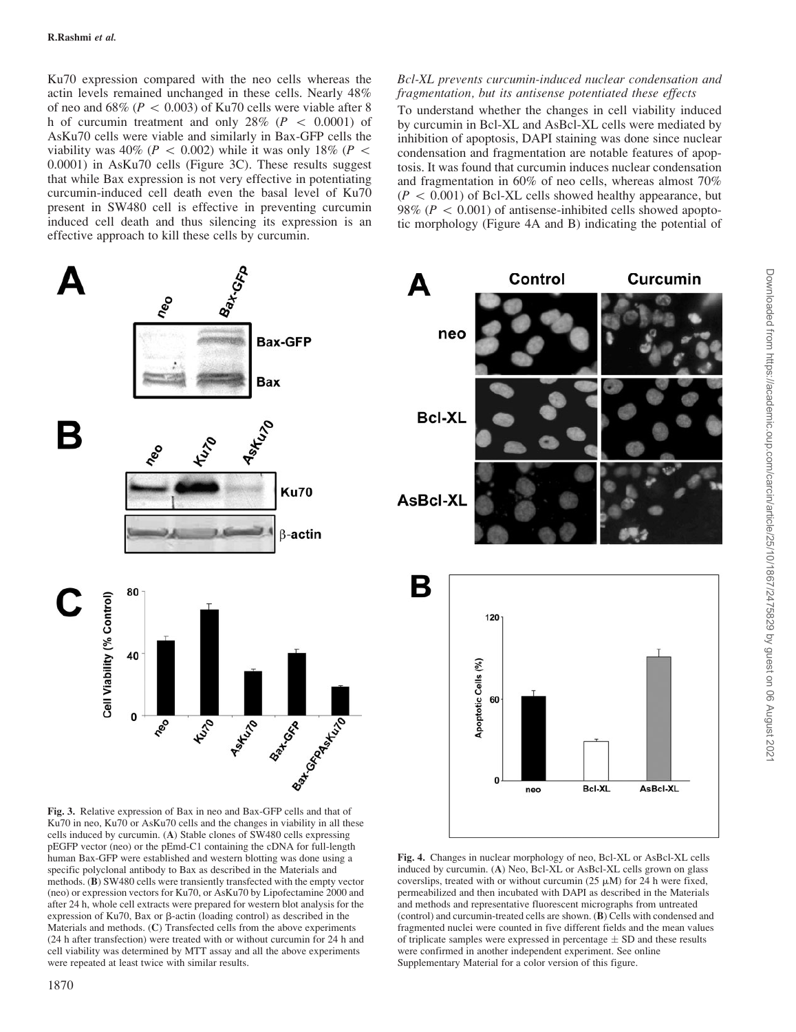Ku70 expression compared with the neo cells whereas the actin levels remained unchanged in these cells. Nearly 48% of neo and  $68\%$  ( $P < 0.003$ ) of Ku70 cells were viable after 8 h of curcumin treatment and only  $28\%$  ( $P < 0.0001$ ) of AsKu70 cells were viable and similarly in Bax-GFP cells the viability was 40% ( $P < 0.002$ ) while it was only 18% ( $P <$ 0.0001) in AsKu70 cells (Figure 3C). These results suggest that while Bax expression is not very effective in potentiating curcumin-induced cell death even the basal level of Ku70 present in SW480 cell is effective in preventing curcumin induced cell death and thus silencing its expression is an effective approach to kill these cells by curcumin.

Bcl-XL prevents curcumin-induced nuclear condensation and fragmentation, but its antisense potentiated these effects

To understand whether the changes in cell viability induced by curcumin in Bcl-XL and AsBcl-XL cells were mediated by inhibition of apoptosis, DAPI staining was done since nuclear condensation and fragmentation are notable features of apoptosis. It was found that curcumin induces nuclear condensation and fragmentation in 60% of neo cells, whereas almost 70%  $(P < 0.001)$  of Bcl-XL cells showed healthy appearance, but 98% ( $P < 0.001$ ) of antisense-inhibited cells showed apoptotic morphology (Figure 4A and B) indicating the potential of



Ku70 in neo, Ku70 or AsKu70 cells and the changes in viability in all these cells induced by curcumin. (A) Stable clones of SW480 cells expressing pEGFP vector (neo) or the pEmd-C1 containing the cDNA for full-length human Bax-GFP were established and western blotting was done using a specific polyclonal antibody to Bax as described in the Materials and methods. (B) SW480 cells were transiently transfected with the empty vector (neo) or expression vectors for Ku70, or AsKu70 by Lipofectamine 2000 and after 24 h, whole cell extracts were prepared for western blot analysis for the expression of Ku70, Bax or  $\beta$ -actin (loading control) as described in the Materials and methods. (C) Transfected cells from the above experiments (24 h after transfection) were treated with or without curcumin for 24 h and cell viability was determined by MTT assay and all the above experiments were repeated at least twice with similar results.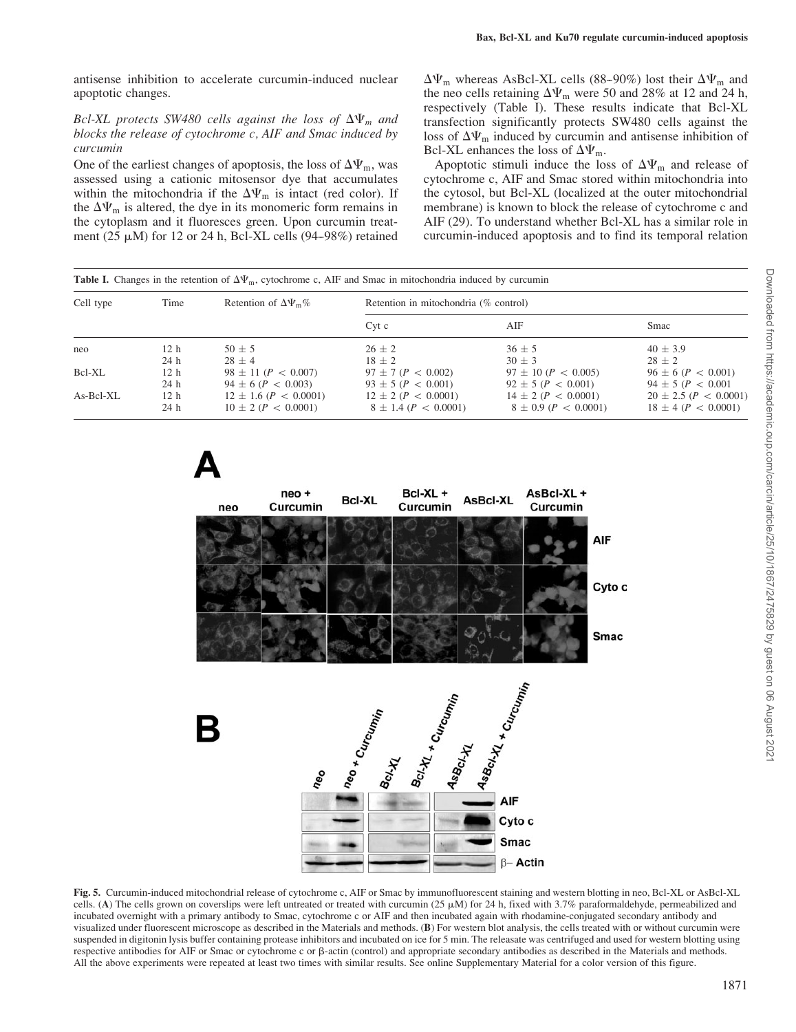antisense inhibition to accelerate curcumin-induced nuclear apoptotic changes.

## Bcl-XL protects SW480 cells against the loss of  $\Delta \Psi_m$  and blocks the release of cytochrome c, AIF and Smac induced by curcumin

One of the earliest changes of apoptosis, the loss of  $\Delta \Psi_{\rm m}$ , was assessed using a cationic mitosensor dye that accumulates within the mitochondria if the  $\Delta \Psi_m$  is intact (red color). If the  $\Delta \Psi_m$  is altered, the dye in its monomeric form remains in the cytoplasm and it fluoresces green. Upon curcumin treatment (25  $\mu$ M) for 12 or 24 h, Bcl-XL cells (94–98%) retained

 $\Delta\Psi_{\rm m}$  whereas AsBcl-XL cells (88–90%) lost their  $\Delta\Psi_{\rm m}$  and the neo cells retaining  $\Delta \Psi_{\rm m}$  were 50 and 28% at 12 and 24 h, respectively (Table I). These results indicate that Bcl-XL transfection significantly protects SW480 cells against the loss of  $\Delta \Psi_m$  induced by curcumin and antisense inhibition of Bcl-XL enhances the loss of  $\Delta \Psi_{\rm m}$ .

Apoptotic stimuli induce the loss of  $\Delta\Psi_m$  and release of cytochrome c, AIF and Smac stored within mitochondria into the cytosol, but Bcl-XL (localized at the outer mitochondrial membrane) is known to block the release of cytochrome c and AIF (29). To understand whether Bcl-XL has a similar role in curcumin-induced apoptosis and to find its temporal relation

| Cell type | Time            | Retention of $\Delta \Psi_{\rm m}$ % | Retention in mitochondria (% control) |                              |                               |
|-----------|-----------------|--------------------------------------|---------------------------------------|------------------------------|-------------------------------|
|           |                 |                                      | $Cvt$ c                               | AIF                          | Smac                          |
| neo       | 12 <sub>h</sub> | $50 + 5$                             | $26 + 2$                              | $36 + 5$                     | $40 + 3.9$                    |
|           | 24 <sub>h</sub> | $28 + 4$                             | $18 + 2$                              | $30 + 3$                     | $28 + 2$                      |
| Bcl-XL    | 12 <sub>h</sub> | $98 \pm 11$ ( $P < 0.007$ )          | $97 \pm 7$ ( $P < 0.002$ )            | $97 \pm 10$ ( $P < 0.005$ )  | $96 \pm 6$ ( $P < 0.001$ )    |
|           | 24 <sub>h</sub> | $94 \pm 6$ ( $P < 0.003$ )           | $93 \pm 5$ (P < 0.001)                | $92 \pm 5$ (P < 0.001)       | $94 \pm 5$ ( $P < 0.001$ )    |
| As-Bcl-XL | 12 <sub>h</sub> | $12 \pm 1.6$ ( $P < 0.0001$ )        | $12 \pm 2$ ( $P < 0.0001$ )           | $14 \pm 2$ ( $P < 0.0001$ )  | $20 \pm 2.5$ ( $P < 0.0001$ ) |
|           | 24 h            | $10 \pm 2$ ( $P < 0.0001$ )          | $8 \pm 1.4$ ( $P < 0.0001$ )          | $8 \pm 0.9$ ( $P < 0.0001$ ) | $18 \pm 4$ ( $P < 0.0001$ )   |



Fig. 5. Curcumin-induced mitochondrial release of cytochrome c, AIF or Smac by immunofluorescent staining and western blotting in neo, Bcl-XL or AsBcl-XL cells. (A) The cells grown on coverslips were left untreated or treated with curcumin (25 mM) for 24 h, fixed with 3.7% paraformaldehyde, permeabilized and incubated overnight with a primary antibody to Smac, cytochrome c or AIF and then incubated again with rhodamine-conjugated secondary antibody and visualized under fluorescent microscope as described in the Materials and methods. (B) For western blot analysis, the cells treated with or without curcumin were suspended in digitonin lysis buffer containing protease inhibitors and incubated on ice for 5 min. The releasate was centrifuged and used for western blotting using respective antibodies for AIF or Smac or cytochrome c or b-actin (control) and appropriate secondary antibodies as described in the Materials and methods. All the above experiments were repeated at least two times with similar results. See online Supplementary Material for a color version of this figure.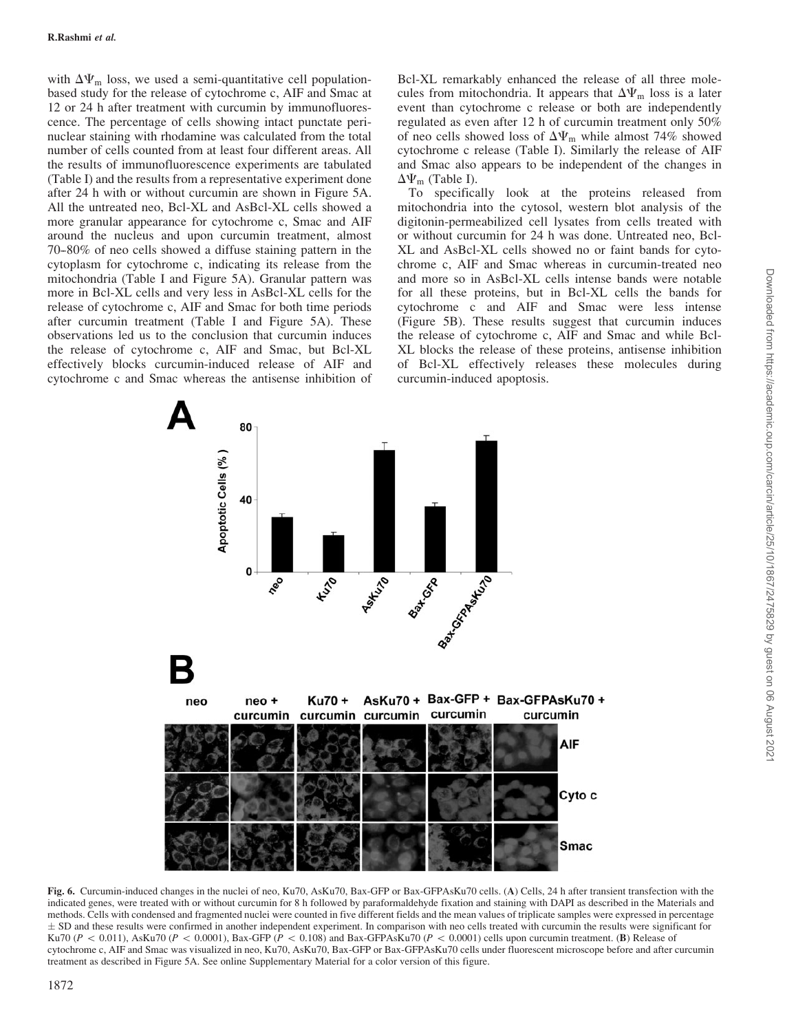with  $\Delta \Psi_{\rm m}$  loss, we used a semi-quantitative cell populationbased study for the release of cytochrome c, AIF and Smac at 12 or 24 h after treatment with curcumin by immunofluorescence. The percentage of cells showing intact punctate perinuclear staining with rhodamine was calculated from the total number of cells counted from at least four different areas. All the results of immunofluorescence experiments are tabulated (Table I) and the results from a representative experiment done after 24 h with or without curcumin are shown in Figure 5A. All the untreated neo, Bcl-XL and AsBcl-XL cells showed a more granular appearance for cytochrome c, Smac and AIF around the nucleus and upon curcumin treatment, almost 70–80% of neo cells showed a diffuse staining pattern in the cytoplasm for cytochrome c, indicating its release from the mitochondria (Table I and Figure 5A). Granular pattern was more in Bcl-XL cells and very less in AsBcl-XL cells for the release of cytochrome c, AIF and Smac for both time periods after curcumin treatment (Table I and Figure 5A). These observations led us to the conclusion that curcumin induces the release of cytochrome c, AIF and Smac, but Bcl-XL effectively blocks curcumin-induced release of AIF and cytochrome c and Smac whereas the antisense inhibition of

Bcl-XL remarkably enhanced the release of all three molecules from mitochondria. It appears that  $\Delta \Psi_{\rm m}$  loss is a later event than cytochrome c release or both are independently regulated as even after 12 h of curcumin treatment only 50% of neo cells showed loss of  $\Delta \Psi_{\rm m}$  while almost 74% showed cytochrome c release (Table I). Similarly the release of AIF and Smac also appears to be independent of the changes in  $\Delta \Psi_{\rm m}$  (Table I).

To specifically look at the proteins released from mitochondria into the cytosol, western blot analysis of the digitonin-permeabilized cell lysates from cells treated with or without curcumin for 24 h was done. Untreated neo, Bcl-XL and AsBcl-XL cells showed no or faint bands for cytochrome c, AIF and Smac whereas in curcumin-treated neo and more so in AsBcl-XL cells intense bands were notable for all these proteins, but in Bcl-XL cells the bands for cytochrome c and AIF and Smac were less intense (Figure 5B). These results suggest that curcumin induces the release of cytochrome c, AIF and Smac and while Bcl-XL blocks the release of these proteins, antisense inhibition of Bcl-XL effectively releases these molecules during curcumin-induced apoptosis.



Fig. 6. Curcumin-induced changes in the nuclei of neo, Ku70, AsKu70, Bax-GFP or Bax-GFPAsKu70 cells, (A) Cells, 24 h after transient transfection with the indicated genes, were treated with or without curcumin for 8 h followed by paraformaldehyde fixation and staining with DAPI as described in the Materials and methods. Cells with condensed and fragmented nuclei were counted in five different fields and the mean values of triplicate samples were expressed in percentage  $\pm$  SD and these results were confirmed in another independent experiment. In comparison with neo cells treated with curcumin the results were significant for Ku70 ( $P < 0.011$ ), AsKu70 ( $P < 0.0001$ ), Bax-GFP ( $P < 0.108$ ) and Bax-GFPAsKu70 ( $P < 0.0001$ ) cells upon curcumin treatment. (B) Release of cytochrome c, AIF and Smac was visualized in neo, Ku70, AsKu70, Bax-GFP or Bax-GFPAsKu70 cells under fluorescent microscope before and after curcumin treatment as described in Figure 5A. See online Supplementary Material for a color version of this figure.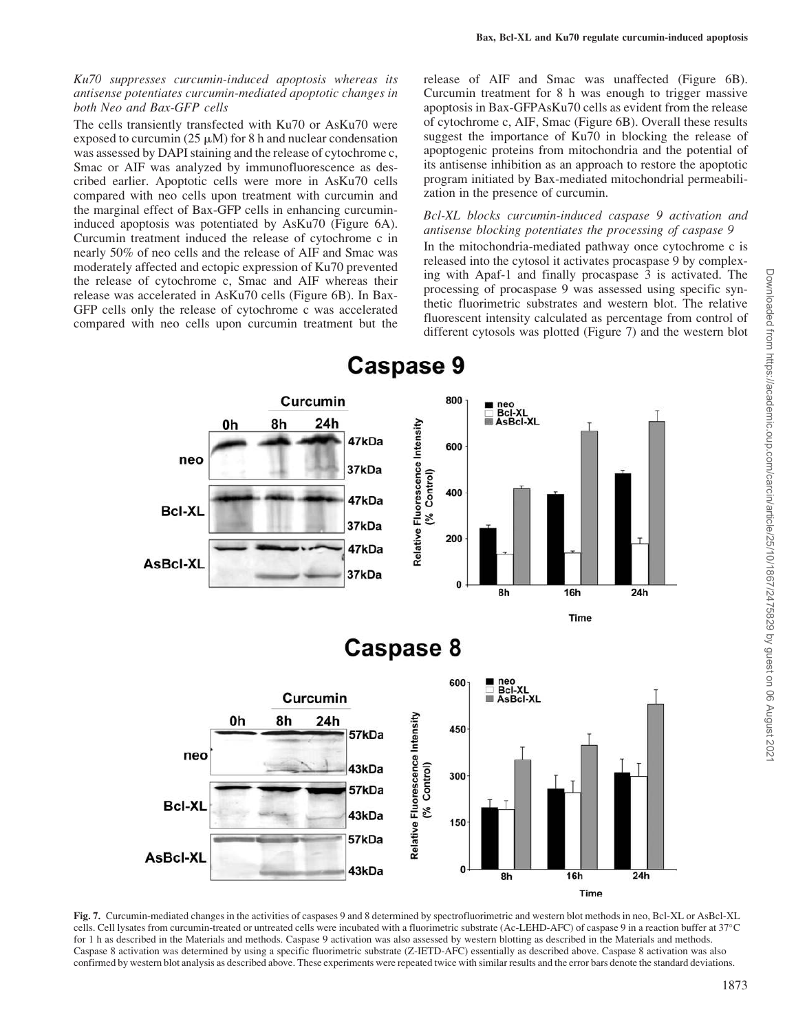# Ku70 suppresses curcumin-induced apoptosis whereas its antisense potentiates curcumin-mediated apoptotic changes in both Neo and Bax-GFP cells

The cells transiently transfected with Ku70 or AsKu70 were exposed to curcumin (25  $\mu$ M) for 8 h and nuclear condensation was assessed by DAPI staining and the release of cytochrome c, Smac or AIF was analyzed by immunofluorescence as described earlier. Apoptotic cells were more in AsKu70 cells compared with neo cells upon treatment with curcumin and the marginal effect of Bax-GFP cells in enhancing curcumininduced apoptosis was potentiated by AsKu70 (Figure 6A). Curcumin treatment induced the release of cytochrome c in nearly 50% of neo cells and the release of AIF and Smac was moderately affected and ectopic expression of Ku70 prevented the release of cytochrome c, Smac and AIF whereas their release was accelerated in AsKu70 cells (Figure 6B). In Bax-GFP cells only the release of cytochrome c was accelerated compared with neo cells upon curcumin treatment but the

release of AIF and Smac was unaffected (Figure 6B). Curcumin treatment for 8 h was enough to trigger massive apoptosis in Bax-GFPAsKu70 cells as evident from the release of cytochrome c, AIF, Smac (Figure 6B). Overall these results suggest the importance of Ku70 in blocking the release of apoptogenic proteins from mitochondria and the potential of its antisense inhibition as an approach to restore the apoptotic program initiated by Bax-mediated mitochondrial permeabilization in the presence of curcumin.

## Bcl-XL blocks curcumin-induced caspase 9 activation and antisense blocking potentiates the processing of caspase 9

In the mitochondria-mediated pathway once cytochrome c is released into the cytosol it activates procaspase 9 by complexing with Apaf-1 and finally procaspase 3 is activated. The processing of procaspase 9 was assessed using specific synthetic fluorimetric substrates and western blot. The relative fluorescent intensity calculated as percentage from control of different cytosols was plotted (Figure 7) and the western blot



Fig. 7. Curcumin-mediated changes in the activities of caspases 9 and 8 determined by spectrofluorimetric and western blot methods in neo, Bcl-XL or AsBcl-XL cells. Cell lysates from curcumin-treated or untreated cells were incubated with a fluorimetric substrate (Ac-LEHD-AFC) of caspase 9 in a reaction buffer at 37-C for 1 h as described in the Materials and methods. Caspase 9 activation was also assessed by western blotting as described in the Materials and methods. Caspase 8 activation was determined by using a specific fluorimetric substrate (Z-IETD-AFC) essentially as described above. Caspase 8 activation was also confirmed by western blot analysis as described above. These experiments were repeated twice with similar results and the error bars denote the standard deviations.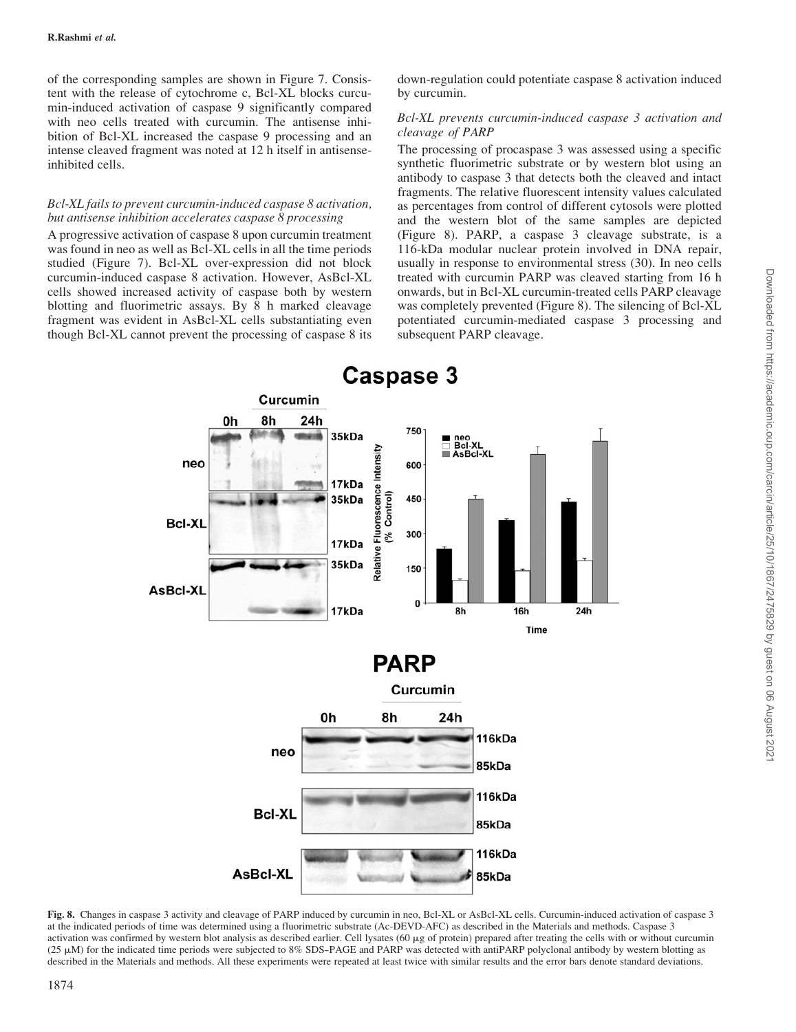of the corresponding samples are shown in Figure 7. Consistent with the release of cytochrome c, Bcl-XL blocks curcumin-induced activation of caspase 9 significantly compared with neo cells treated with curcumin. The antisense inhibition of Bcl-XL increased the caspase 9 processing and an intense cleaved fragment was noted at 12 h itself in antisenseinhibited cells.

# Bcl-XL fails to prevent curcumin-induced caspase 8 activation, but antisense inhibition accelerates caspase 8 processing

A progressive activation of caspase 8 upon curcumin treatment was found in neo as well as Bcl-XL cells in all the time periods studied (Figure 7). Bcl-XL over-expression did not block curcumin-induced caspase 8 activation. However, AsBcl-XL cells showed increased activity of caspase both by western blotting and fluorimetric assays. By 8 h marked cleavage fragment was evident in AsBcl-XL cells substantiating even though Bcl-XL cannot prevent the processing of caspase 8 its

down-regulation could potentiate caspase 8 activation induced by curcumin.

# Bcl-XL prevents curcumin-induced caspase 3 activation and cleavage of PARP

The processing of procaspase 3 was assessed using a specific synthetic fluorimetric substrate or by western blot using an antibody to caspase 3 that detects both the cleaved and intact fragments. The relative fluorescent intensity values calculated as percentages from control of different cytosols were plotted and the western blot of the same samples are depicted (Figure 8). PARP, a caspase 3 cleavage substrate, is a 116-kDa modular nuclear protein involved in DNA repair, usually in response to environmental stress (30). In neo cells treated with curcumin PARP was cleaved starting from 16 h onwards, but in Bcl-XL curcumin-treated cells PARP cleavage was completely prevented (Figure 8). The silencing of Bcl-XL potentiated curcumin-mediated caspase 3 processing and subsequent PARP cleavage.



Fig. 8. Changes in caspase 3 activity and cleavage of PARP induced by curcumin in neo, Bcl-XL or AsBcl-XL cells. Curcumin-induced activation of caspase 3 at the indicated periods of time was determined using a fluorimetric substrate (Ac-DEVD-AFC) as described in the Materials and methods. Caspase 3 activation was confirmed by western blot analysis as described earlier. Cell lysates  $(60 \mu g)$  of protein) prepared after treating the cells with or without curcumin  $(25 \mu)$  for the indicated time periods were subjected to 8% SDS-PAGE and PARP was detected with antiPARP polyclonal antibody by western blotting as described in the Materials and methods. All these experiments were repeated at least twice with similar results and the error bars denote standard deviations.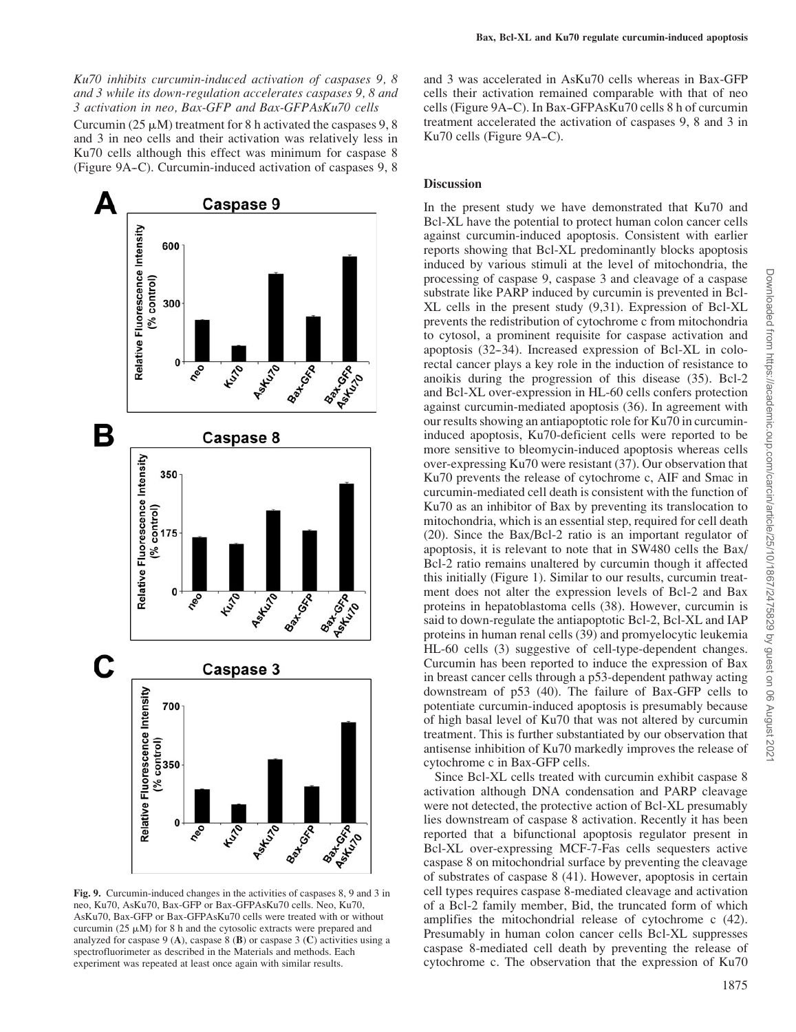Ku70 inhibits curcumin-induced activation of caspases 9, 8 and 3 while its down-regulation accelerates caspases 9, 8 and 3 activation in neo, Bax-GFP and Bax-GFPAsKu70 cells Curcumin ( $25 \mu M$ ) treatment for 8 h activated the caspases 9, 8 and 3 in neo cells and their activation was relatively less in Ku70 cells although this effect was minimum for caspase 8 (Figure 9A-C). Curcumin-induced activation of caspases 9, 8



Fig. 9. Curcumin-induced changes in the activities of caspases 8, 9 and 3 in neo, Ku70, AsKu70, Bax-GFP or Bax-GFPAsKu70 cells. Neo, Ku70, AsKu70, Bax-GFP or Bax-GFPAsKu70 cells were treated with or without curcumin (25  $\mu$ M) for 8 h and the cytosolic extracts were prepared and analyzed for caspase 9 (A), caspase 8 (B) or caspase 3 (C) activities using a spectrofluorimeter as described in the Materials and methods. Each experiment was repeated at least once again with similar results.

and 3 was accelerated in AsKu70 cells whereas in Bax-GFP cells their activation remained comparable with that of neo cells (Figure 9A–C). In Bax-GFPAsKu70 cells 8 h of curcumin treatment accelerated the activation of caspases 9, 8 and 3 in Ku70 cells (Figure 9A–C).

### **Discussion**

In the present study we have demonstrated that Ku70 and Bcl-XL have the potential to protect human colon cancer cells against curcumin-induced apoptosis. Consistent with earlier reports showing that Bcl-XL predominantly blocks apoptosis induced by various stimuli at the level of mitochondria, the processing of caspase 9, caspase 3 and cleavage of a caspase substrate like PARP induced by curcumin is prevented in Bcl-XL cells in the present study (9,31). Expression of Bcl-XL prevents the redistribution of cytochrome c from mitochondria to cytosol, a prominent requisite for caspase activation and apoptosis (32--34). Increased expression of Bcl-XL in colorectal cancer plays a key role in the induction of resistance to anoikis during the progression of this disease (35). Bcl-2 and Bcl-XL over-expression in HL-60 cells confers protection against curcumin-mediated apoptosis (36). In agreement with our results showing an antiapoptotic role for Ku70 in curcumininduced apoptosis, Ku70-deficient cells were reported to be more sensitive to bleomycin-induced apoptosis whereas cells over-expressing Ku70 were resistant (37). Our observation that Ku70 prevents the release of cytochrome c, AIF and Smac in curcumin-mediated cell death is consistent with the function of Ku70 as an inhibitor of Bax by preventing its translocation to mitochondria, which is an essential step, required for cell death (20). Since the Bax/Bcl-2 ratio is an important regulator of apoptosis, it is relevant to note that in SW480 cells the Bax/ Bcl-2 ratio remains unaltered by curcumin though it affected this initially (Figure 1). Similar to our results, curcumin treatment does not alter the expression levels of Bcl-2 and Bax proteins in hepatoblastoma cells (38). However, curcumin is said to down-regulate the antiapoptotic Bcl-2, Bcl-XL and IAP proteins in human renal cells (39) and promyelocytic leukemia HL-60 cells (3) suggestive of cell-type-dependent changes. Curcumin has been reported to induce the expression of Bax in breast cancer cells through a p53-dependent pathway acting downstream of p53 (40). The failure of Bax-GFP cells to potentiate curcumin-induced apoptosis is presumably because of high basal level of Ku70 that was not altered by curcumin treatment. This is further substantiated by our observation that antisense inhibition of Ku70 markedly improves the release of cytochrome c in Bax-GFP cells.

Since Bcl-XL cells treated with curcumin exhibit caspase 8 activation although DNA condensation and PARP cleavage were not detected, the protective action of Bcl-XL presumably lies downstream of caspase 8 activation. Recently it has been reported that a bifunctional apoptosis regulator present in Bcl-XL over-expressing MCF-7-Fas cells sequesters active caspase 8 on mitochondrial surface by preventing the cleavage of substrates of caspase 8 (41). However, apoptosis in certain cell types requires caspase 8-mediated cleavage and activation of a Bcl-2 family member, Bid, the truncated form of which amplifies the mitochondrial release of cytochrome c (42). Presumably in human colon cancer cells Bcl-XL suppresses caspase 8-mediated cell death by preventing the release of cytochrome c. The observation that the expression of Ku70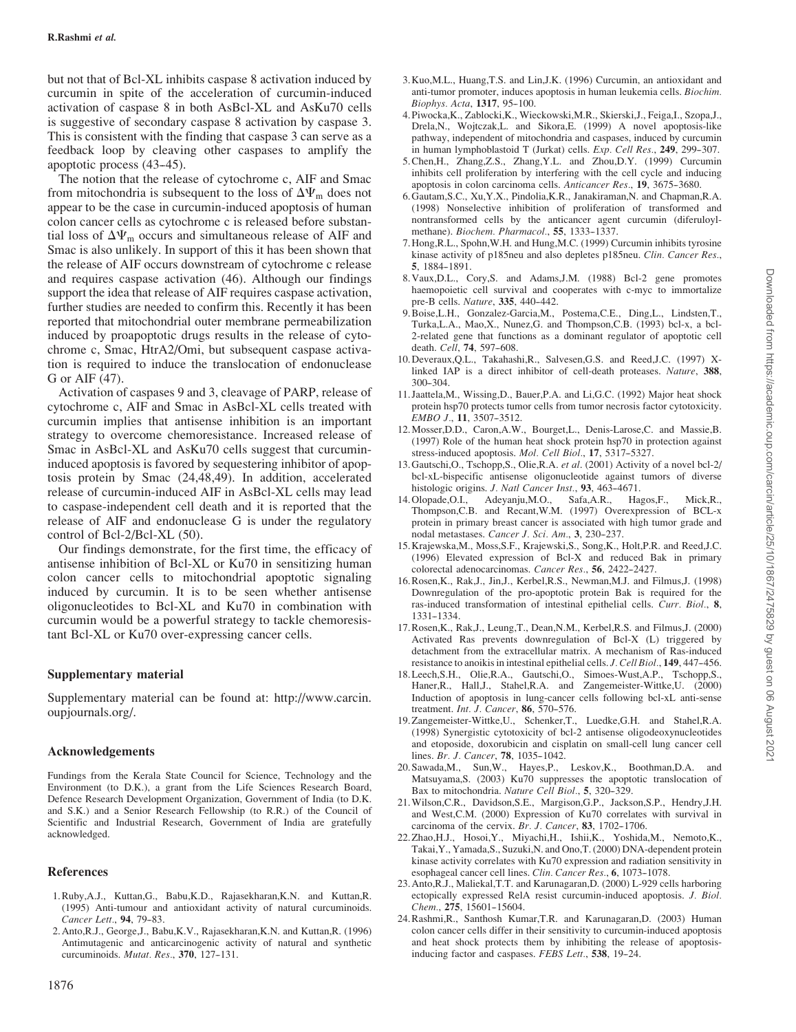but not that of Bcl-XL inhibits caspase 8 activation induced by curcumin in spite of the acceleration of curcumin-induced activation of caspase 8 in both AsBcl-XL and AsKu70 cells is suggestive of secondary caspase 8 activation by caspase 3. This is consistent with the finding that caspase 3 can serve as a feedback loop by cleaving other caspases to amplify the apoptotic process (43–45).

The notion that the release of cytochrome c, AIF and Smac from mitochondria is subsequent to the loss of  $\Delta \Psi_{\rm m}$  does not appear to be the case in curcumin-induced apoptosis of human colon cancer cells as cytochrome c is released before substantial loss of  $\Delta \Psi_{\rm m}$  occurs and simultaneous release of AIF and Smac is also unlikely. In support of this it has been shown that the release of AIF occurs downstream of cytochrome c release and requires caspase activation (46). Although our findings support the idea that release of AIF requires caspase activation, further studies are needed to confirm this. Recently it has been reported that mitochondrial outer membrane permeabilization induced by proapoptotic drugs results in the release of cytochrome c, Smac, HtrA2/Omi, but subsequent caspase activation is required to induce the translocation of endonuclease G or AIF (47).

Activation of caspases 9 and 3, cleavage of PARP, release of cytochrome c, AIF and Smac in AsBcl-XL cells treated with curcumin implies that antisense inhibition is an important strategy to overcome chemoresistance. Increased release of Smac in AsBcl-XL and AsKu70 cells suggest that curcumininduced apoptosis is favored by sequestering inhibitor of apoptosis protein by Smac (24,48,49). In addition, accelerated release of curcumin-induced AIF in AsBcl-XL cells may lead to caspase-independent cell death and it is reported that the release of AIF and endonuclease G is under the regulatory control of Bcl-2/Bcl-XL (50).

Our findings demonstrate, for the first time, the efficacy of antisense inhibition of Bcl-XL or Ku70 in sensitizing human colon cancer cells to mitochondrial apoptotic signaling induced by curcumin. It is to be seen whether antisense oligonucleotides to Bcl-XL and Ku70 in combination with curcumin would be a powerful strategy to tackle chemoresistant Bcl-XL or Ku70 over-expressing cancer cells.

# Supplementary material

Supplementary material can be found at: http://www.carcin. oupjournals.org/.

#### Acknowledgements

Fundings from the Kerala State Council for Science, Technology and the Environment (to D.K.), a grant from the Life Sciences Research Board, Defence Research Development Organization, Government of India (to D.K. and S.K.) and a Senior Research Fellowship (to R.R.) of the Council of Scientific and Industrial Research, Government of India are gratefully acknowledged.

#### References

- 1.Ruby,A.J., Kuttan,G., Babu,K.D., Rajasekharan,K.N. and Kuttan,R. (1995) Anti-tumour and antioxidant activity of natural curcuminoids. Cancer Lett., 94, 79-83.
- 2. Anto,R.J., George,J., Babu,K.V., Rajasekharan,K.N. and Kuttan,R. (1996) Antimutagenic and anticarcinogenic activity of natural and synthetic curcuminoids. *Mutat. Res.*, 370, 127-131.
- 3. Kuo,M.L., Huang,T.S. and Lin,J.K. (1996) Curcumin, an antioxidant and anti-tumor promoter, induces apoptosis in human leukemia cells. Biochim. Biophys. Acta, 1317, 95-100.
- 4. Piwocka,K., Zablocki,K., Wieckowski,M.R., Skierski,J., Feiga,I., Szopa,J., Drela,N., Wojtczak,L. and Sikora,E. (1999) A novel apoptosis-like pathway, independent of mitochondria and caspases, induced by curcumin in human lymphoblastoid T (Jurkat) cells. Exp. Cell Res., 249, 299-307.
- 5.Chen,H., Zhang,Z.S., Zhang,Y.L. and Zhou,D.Y. (1999) Curcumin inhibits cell proliferation by interfering with the cell cycle and inducing apoptosis in colon carcinoma cells. Anticancer Res., 19, 3675-3680.
- 6. Gautam,S.C., Xu,Y.X., Pindolia,K.R., Janakiraman,N. and Chapman,R.A. (1998) Nonselective inhibition of proliferation of transformed and nontransformed cells by the anticancer agent curcumin (diferuloylmethane). Biochem. Pharmacol., 55, 1333-1337.
- 7. Hong,R.L., Spohn,W.H. and Hung,M.C. (1999) Curcumin inhibits tyrosine kinase activity of p185neu and also depletes p185neu. Clin. Cancer Res., 5, 1884-1891.
- 8. Vaux,D.L., Cory,S. and Adams,J.M. (1988) Bcl-2 gene promotes haemopoietic cell survival and cooperates with c-myc to immortalize pre-B cells. Nature, 335, 440-442.
- 9.Boise,L.H., Gonzalez-Garcia,M., Postema,C.E., Ding,L., Lindsten,T., Turka,L.A., Mao,X., Nunez,G. and Thompson,C.B. (1993) bcl-x, a bcl-2-related gene that functions as a dominant regulator of apoptotic cell death. Cell, 74, 597-608.
- 10. Deveraux,Q.L., Takahashi,R., Salvesen,G.S. and Reed,J.C. (1997) Xlinked IAP is a direct inhibitor of cell-death proteases. Nature, 388,  $300 - 304$ .
- 11. Jaattela,M., Wissing,D., Bauer,P.A. and Li,G.C. (1992) Major heat shock protein hsp70 protects tumor cells from tumor necrosis factor cytotoxicity. EMBO J., 11, 3507-3512.
- 12.Mosser,D.D., Caron,A.W., Bourget,L., Denis-Larose,C. and Massie,B. (1997) Role of the human heat shock protein hsp70 in protection against stress-induced apoptosis. Mol. Cell Biol., 17, 5317-5327.
- 13. Gautschi,O., Tschopp,S., Olie,R.A. et al. (2001) Activity of a novel bcl-2/ bcl-xL-bispecific antisense oligonucleotide against tumors of diverse histologic origins. J. Natl Cancer Inst., 93, 463-4671.
- 14. Olopade,O.I., Adeyanju,M.O., Safa,A.R., Hagos,F., Mick,R., Thompson,C.B. and Recant,W.M. (1997) Overexpression of BCL-x protein in primary breast cancer is associated with high tumor grade and nodal metastases. Cancer J. Sci. Am., 3, 230-237.
- 15. Krajewska,M., Moss,S.F., Krajewski,S., Song,K., Holt,P.R. and Reed,J.C. (1996) Elevated expression of Bcl-X and reduced Bak in primary colorectal adenocarcinomas. Cancer Res., 56, 2422-2427.
- 16.Rosen,K., Rak,J., Jin,J., Kerbel,R.S., Newman,M.J. and Filmus,J. (1998) Downregulation of the pro-apoptotic protein Bak is required for the ras-induced transformation of intestinal epithelial cells. Curr. Biol., 8, 1331--1334.
- 17.Rosen,K., Rak,J., Leung,T., Dean,N.M., Kerbel,R.S. and Filmus,J. (2000) Activated Ras prevents downregulation of Bcl-X (L) triggered by detachment from the extracellular matrix. A mechanism of Ras-induced resistance to anoikis in intestinal epithelial cells. J. Cell Biol., 149, 447-456.
- 18.Leech,S.H., Olie,R.A., Gautschi,O., Simoes-Wust,A.P., Tschopp,S., Haner,R., Hall,J., Stahel,R.A. and Zangemeister-Wittke,U. (2000) Induction of apoptosis in lung-cancer cells following bcl-xL anti-sense treatment. *Int. J. Cancer*, 86, 570-576.
- 19.Zangemeister-Wittke,U., Schenker,T., Luedke,G.H. and Stahel,R.A. (1998) Synergistic cytotoxicity of bcl-2 antisense oligodeoxynucleotides and etoposide, doxorubicin and cisplatin on small-cell lung cancer cell lines. Br. J. Cancer, 78, 1035-1042.
- 20. Sawada,M., Sun,W., Hayes,P., Leskov,K., Boothman,D.A. and Matsuyama,S. (2003) Ku70 suppresses the apoptotic translocation of Bax to mitochondria. Nature Cell Biol., 5, 320-329.
- 21.Wilson,C.R., Davidson,S.E., Margison,G.P., Jackson,S.P., Hendry,J.H. and West,C.M. (2000) Expression of Ku70 correlates with survival in carcinoma of the cervix.  $Br. J. Cancer$ , 83, 1702-1706.
- 22.Zhao,H.J., Hosoi,Y., Miyachi,H., Ishii,K., Yoshida,M., Nemoto,K., Takai,Y., Yamada,S., Suzuki,N. and Ono,T. (2000) DNA-dependent protein kinase activity correlates with Ku70 expression and radiation sensitivity in esophageal cancer cell lines. Clin. Cancer Res., 6, 1073-1078.
- 23. Anto,R.J., Maliekal,T.T. and Karunagaran,D. (2000) L-929 cells harboring ectopically expressed RelA resist curcumin-induced apoptosis. J. Biol. Chem., 275, 15601-15604.
- 24.Rashmi,R., Santhosh Kumar,T.R. and Karunagaran,D. (2003) Human colon cancer cells differ in their sensitivity to curcumin-induced apoptosis and heat shock protects them by inhibiting the release of apoptosisinducing factor and caspases. FEBS Lett., 538, 19-24.